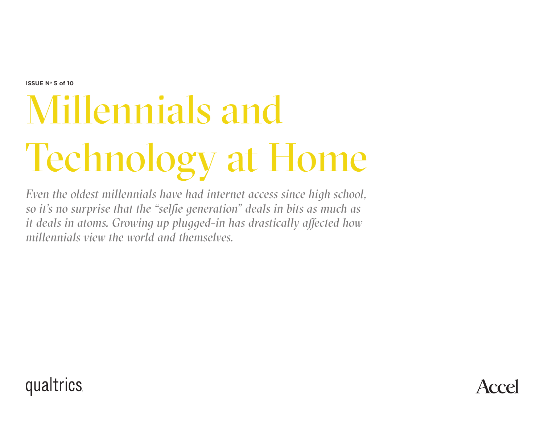**ISSUE N° 5 of 10** 

# Millennials and Technology at Home

*Even the oldest millennials have had internet access since high school, so it's no surprise that the "selfie generation" deals in bits as much as it deals in atoms. Growing up plugged-in has drastically affected how millennials view the world and themselves.*



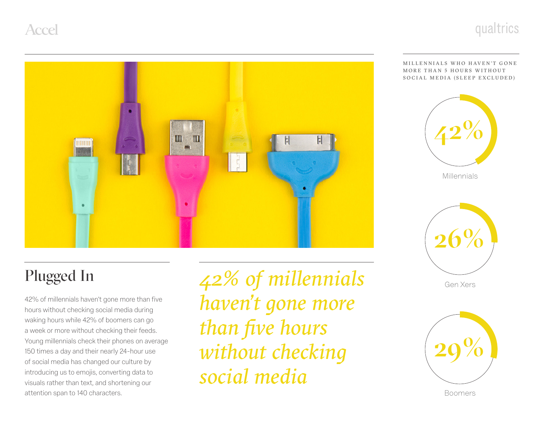

Œ IШ  $\mathsf H$  $H$ HIIII F

#### MILLENNIALS WHO HAVEN'T GONE MORE THAN 5 HOURS WITHOUT SOCIAL MEDIA (SLEEP EXCLUDED)



Millennials

### Plugged In

42% of millennials haven't gone more than five hours without checking social media during waking hours while 42% of boomers can go a week or more without checking their feeds. Young millennials check their phones on average 150 times a day and their nearly 24-hour use of social media has changed our culture by introducing us to emojis, converting data to visuals rather than text, and shortening our attention span to 140 characters.

*42% of millennials haven't gone more than five hours without checking social media*



Gen Xers



Boomers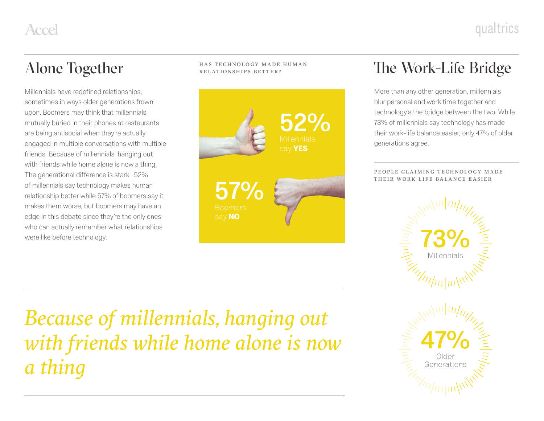Millennials have redefined relationships, sometimes in ways older generations frown upon. Boomers may think that millennials mutually buried in their phones at restaurants are being antisocial when they're actually engaged in multiple conversations with multiple friends. Because of millennials, hanging out with friends while home alone is now a thing. The generational difference is stark—52% of millennials say technology makes human relationship better while 57% of boomers say it makes them worse, but boomers may have an edge in this debate since they're the only ones who can actually remember what relationships were like before technology.

HAS TECHNOLOGY MADE HUMAN RELATIONSHIPS BETTER?



#### Alone Together **The Work-Life Bridge**

More than any other generation, millennials blur personal and work time together and technology's the bridge between the two. While 73% of millennials say technology has made their work-life balance easier, only 47% of older generations agree.

PEOPLE CLAIMING TECHNOLOGY MADE THEIR WORK-LIFE BALANCE EASIER



*Because of millennials, hanging out with friends while home alone is now a thing*

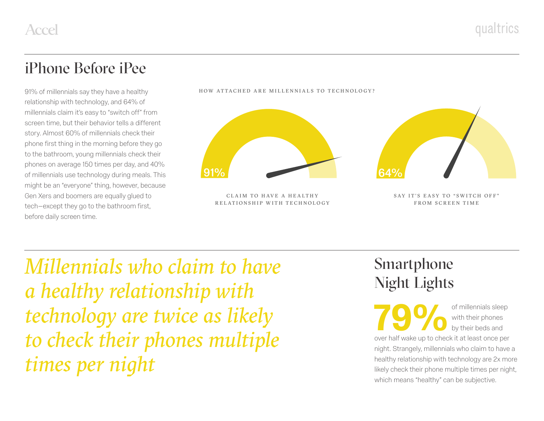#### iPhone Before iPee

91% of millennials say they have a healthy relationship with technology, and 64% of millennials claim it's easy to "switch off" from screen time, but their behavior tells a different story. Almost 60% of millennials check their phone first thing in the morning before they go to the bathroom, young millennials check their phones on average 150 times per day, and 40% of millennials use technology during meals. This might be an "everyone" thing, however, because Gen Xers and boomers are equally glued to tech—except they go to the bathroom first, before daily screen time.



CLAIM TO HAVE A HEALTHY RELATIONSHIP WITH TECHNOLOGY

HOW ATTACHED ARE MILLENNIALS TO TECHNOLOGY?

SAY IT'S EASY TO "SWITCH OFF" FROM SCREEN TIME

*Millennials who claim to have a healthy relationship with technology are twice as likely to check their phones multiple times per night*

### Smartphone Night Lights

**79 OF** millennials sleep<br>
of millennials sleep<br>
by their beds and<br>
over half wake up to check it at least once per with their phones by their beds and night. Strangely, millennials who claim to have a healthy relationship with technology are 2x more likely check their phone multiple times per night, which means "healthy" can be subjective.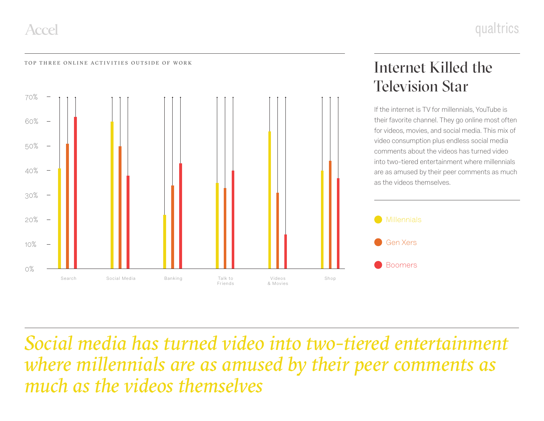

## Internet Killed the Television Star

If the internet is TV for millennials, YouTube is their favorite channel. They go online most often for videos, movies, and social media. This mix of video consumption plus endless social media comments about the videos has turned video into two-tiered entertainment where millennials are as amused by their peer comments as much as the videos themselves.



*Social media has turned video into two-tiered entertainment where millennials are as amused by their peer comments as much as the videos themselves*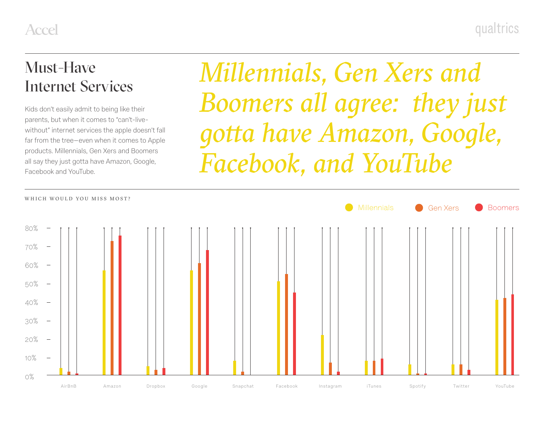#### Must-Have Internet Services

Kids don't easily admit to being like their parents, but when it comes to "can't-livewithout" internet services the apple doesn't fall far from the tree—even when it comes to Apple products. Millennials, Gen Xers and Boomers all say they just gotta have Amazon, Google, Facebook and YouTube.

*Millennials, Gen Xers and Boomers all agree: they just gotta have Amazon, Google, Facebook, and YouTube*